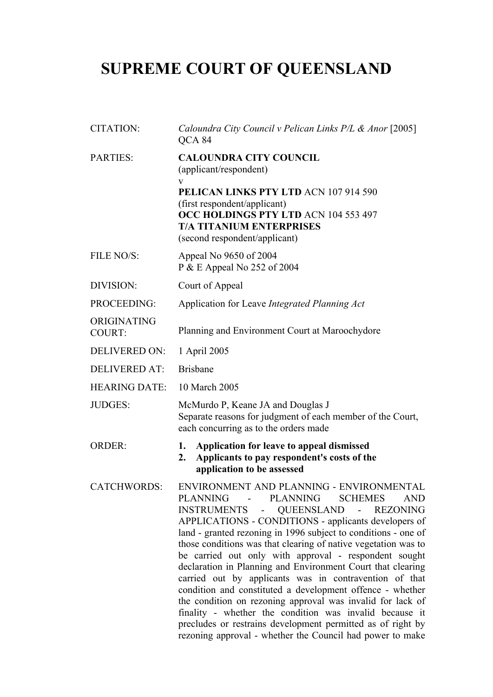# **SUPREME COURT OF QUEENSLAND**

| CITATION:                    | Caloundra City Council v Pelican Links P/L & Anor [2005]<br>QCA 84                                                                                                                                                                                                                                                                                                                                                                                                                                                                                                                                                                                                                                                                                                                                                                                  |
|------------------------------|-----------------------------------------------------------------------------------------------------------------------------------------------------------------------------------------------------------------------------------------------------------------------------------------------------------------------------------------------------------------------------------------------------------------------------------------------------------------------------------------------------------------------------------------------------------------------------------------------------------------------------------------------------------------------------------------------------------------------------------------------------------------------------------------------------------------------------------------------------|
| <b>PARTIES:</b>              | <b>CALOUNDRA CITY COUNCIL</b><br>(applicant/respondent)<br>V<br>PELICAN LINKS PTY LTD ACN 107 914 590<br>(first respondent/applicant)<br>OCC HOLDINGS PTY LTD ACN 104 553 497<br><b>T/A TITANIUM ENTERPRISES</b><br>(second respondent/applicant)                                                                                                                                                                                                                                                                                                                                                                                                                                                                                                                                                                                                   |
| FILE NO/S:                   | Appeal No 9650 of 2004<br>P & E Appeal No 252 of 2004                                                                                                                                                                                                                                                                                                                                                                                                                                                                                                                                                                                                                                                                                                                                                                                               |
| DIVISION:                    | Court of Appeal                                                                                                                                                                                                                                                                                                                                                                                                                                                                                                                                                                                                                                                                                                                                                                                                                                     |
| PROCEEDING:                  | Application for Leave Integrated Planning Act                                                                                                                                                                                                                                                                                                                                                                                                                                                                                                                                                                                                                                                                                                                                                                                                       |
| ORIGINATING<br><b>COURT:</b> | Planning and Environment Court at Maroochydore                                                                                                                                                                                                                                                                                                                                                                                                                                                                                                                                                                                                                                                                                                                                                                                                      |
| <b>DELIVERED ON:</b>         | 1 April 2005                                                                                                                                                                                                                                                                                                                                                                                                                                                                                                                                                                                                                                                                                                                                                                                                                                        |
| <b>DELIVERED AT:</b>         | <b>Brisbane</b>                                                                                                                                                                                                                                                                                                                                                                                                                                                                                                                                                                                                                                                                                                                                                                                                                                     |
| <b>HEARING DATE:</b>         | 10 March 2005                                                                                                                                                                                                                                                                                                                                                                                                                                                                                                                                                                                                                                                                                                                                                                                                                                       |
| <b>JUDGES:</b>               | McMurdo P, Keane JA and Douglas J<br>Separate reasons for judgment of each member of the Court,<br>each concurring as to the orders made                                                                                                                                                                                                                                                                                                                                                                                                                                                                                                                                                                                                                                                                                                            |
| <b>ORDER:</b>                | Application for leave to appeal dismissed<br>1.<br>Applicants to pay respondent's costs of the<br>2.<br>application to be assessed                                                                                                                                                                                                                                                                                                                                                                                                                                                                                                                                                                                                                                                                                                                  |
| <b>CATCHWORDS:</b>           | ENVIRONMENT AND PLANNING - ENVIRONMENTAL<br><b>PLANNING</b><br>- PLANNING SCHEMES<br><b>AND</b><br>INSTRUMENTS -<br>QUEENSLAND -<br><b>REZONING</b><br>APPLICATIONS - CONDITIONS - applicants developers of<br>land - granted rezoning in 1996 subject to conditions - one of<br>those conditions was that clearing of native vegetation was to<br>be carried out only with approval - respondent sought<br>declaration in Planning and Environment Court that clearing<br>carried out by applicants was in contravention of that<br>condition and constituted a development offence - whether<br>the condition on rezoning approval was invalid for lack of<br>finality - whether the condition was invalid because it<br>precludes or restrains development permitted as of right by<br>rezoning approval - whether the Council had power to make |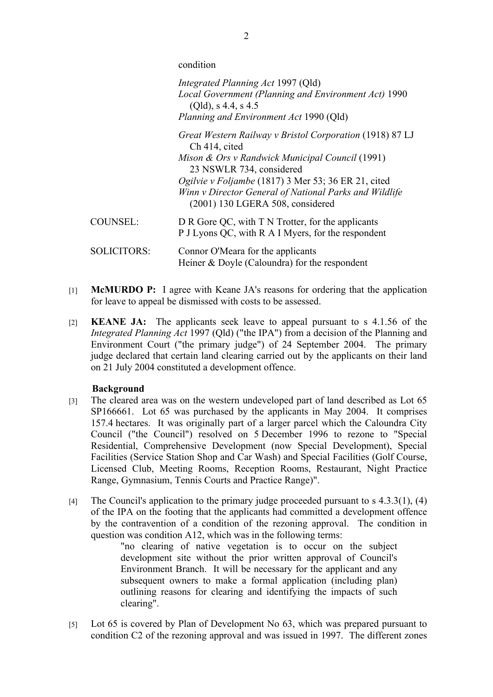condition

|                    | Integrated Planning Act 1997 (Qld)<br>Local Government (Planning and Environment Act) 1990<br>$(Qld)$ , s 4.4, s 4.5<br>Planning and Environment Act 1990 (Qld) |
|--------------------|-----------------------------------------------------------------------------------------------------------------------------------------------------------------|
|                    | Great Western Railway v Bristol Corporation (1918) 87 LJ<br>Ch 414, cited                                                                                       |
|                    | Mison & Ors v Randwick Municipal Council (1991)<br>23 NSWLR 734, considered                                                                                     |
|                    | Ogilvie v Foljambe (1817) 3 Mer 53; 36 ER 21, cited<br>Winn v Director General of National Parks and Wildlife<br>$(2001)$ 130 LGERA 508, considered             |
| <b>COUNSEL:</b>    | D R Gore QC, with T N Trotter, for the applicants<br>P J Lyons QC, with R A I Myers, for the respondent                                                         |
| <b>SOLICITORS:</b> | Connor O'Meara for the applicants<br>Heiner $&$ Doyle (Caloundra) for the respondent                                                                            |

- [1] **McMURDO P:** I agree with Keane JA's reasons for ordering that the application for leave to appeal be dismissed with costs to be assessed.
- [2] **KEANE JA:** The applicants seek leave to appeal pursuant to s 4.1.56 of the *Integrated Planning Act* 1997 (Qld) ("the IPA") from a decision of the Planning and Environment Court ("the primary judge") of 24 September 2004. The primary judge declared that certain land clearing carried out by the applicants on their land on 21 July 2004 constituted a development offence.

## **Background**

- [3] The cleared area was on the western undeveloped part of land described as Lot 65 SP166661. Lot 65 was purchased by the applicants in May 2004. It comprises 157.4 hectares. It was originally part of a larger parcel which the Caloundra City Council ("the Council") resolved on 5 December 1996 to rezone to "Special Residential, Comprehensive Development (now Special Development), Special Facilities (Service Station Shop and Car Wash) and Special Facilities (Golf Course, Licensed Club, Meeting Rooms, Reception Rooms, Restaurant, Night Practice Range, Gymnasium, Tennis Courts and Practice Range)".
- [4] The Council's application to the primary judge proceeded pursuant to s  $4.3.3(1)$ , (4) of the IPA on the footing that the applicants had committed a development offence by the contravention of a condition of the rezoning approval. The condition in question was condition A12, which was in the following terms:

"no clearing of native vegetation is to occur on the subject development site without the prior written approval of Council's Environment Branch. It will be necessary for the applicant and any subsequent owners to make a formal application (including plan) outlining reasons for clearing and identifying the impacts of such clearing".

[5] Lot 65 is covered by Plan of Development No 63, which was prepared pursuant to condition C2 of the rezoning approval and was issued in 1997. The different zones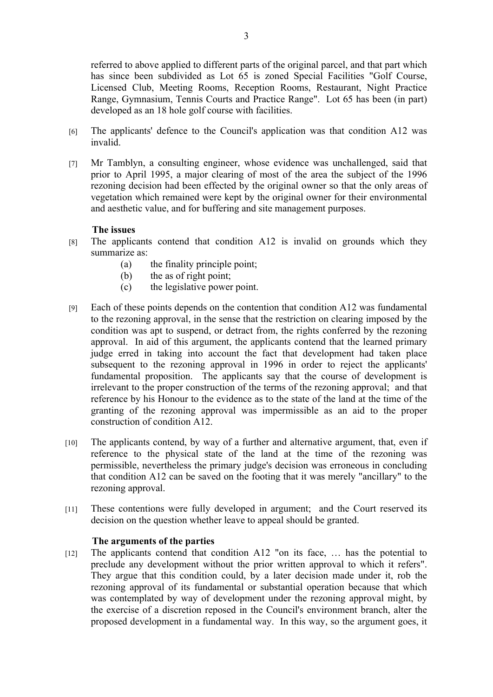referred to above applied to different parts of the original parcel, and that part which has since been subdivided as Lot 65 is zoned Special Facilities "Golf Course, Licensed Club, Meeting Rooms, Reception Rooms, Restaurant, Night Practice Range, Gymnasium, Tennis Courts and Practice Range". Lot 65 has been (in part) developed as an 18 hole golf course with facilities.

- [6] The applicants' defence to the Council's application was that condition A12 was invalid.
- [7] Mr Tamblyn, a consulting engineer, whose evidence was unchallenged, said that prior to April 1995, a major clearing of most of the area the subject of the 1996 rezoning decision had been effected by the original owner so that the only areas of vegetation which remained were kept by the original owner for their environmental and aesthetic value, and for buffering and site management purposes.

## **The issues**

- [8] The applicants contend that condition A12 is invalid on grounds which they summarize as:
	- (a) the finality principle point;
	- (b) the as of right point;
	- (c) the legislative power point.
- [9] Each of these points depends on the contention that condition A12 was fundamental to the rezoning approval, in the sense that the restriction on clearing imposed by the condition was apt to suspend, or detract from, the rights conferred by the rezoning approval. In aid of this argument, the applicants contend that the learned primary judge erred in taking into account the fact that development had taken place subsequent to the rezoning approval in 1996 in order to reject the applicants' fundamental proposition. The applicants say that the course of development is irrelevant to the proper construction of the terms of the rezoning approval; and that reference by his Honour to the evidence as to the state of the land at the time of the granting of the rezoning approval was impermissible as an aid to the proper construction of condition A12.
- [10] The applicants contend, by way of a further and alternative argument, that, even if reference to the physical state of the land at the time of the rezoning was permissible, nevertheless the primary judge's decision was erroneous in concluding that condition A12 can be saved on the footing that it was merely "ancillary" to the rezoning approval.
- [11] These contentions were fully developed in argument; and the Court reserved its decision on the question whether leave to appeal should be granted.

## **The arguments of the parties**

[12] The applicants contend that condition A12 "on its face, ... has the potential to preclude any development without the prior written approval to which it refers". They argue that this condition could, by a later decision made under it, rob the rezoning approval of its fundamental or substantial operation because that which was contemplated by way of development under the rezoning approval might, by the exercise of a discretion reposed in the Council's environment branch, alter the proposed development in a fundamental way. In this way, so the argument goes, it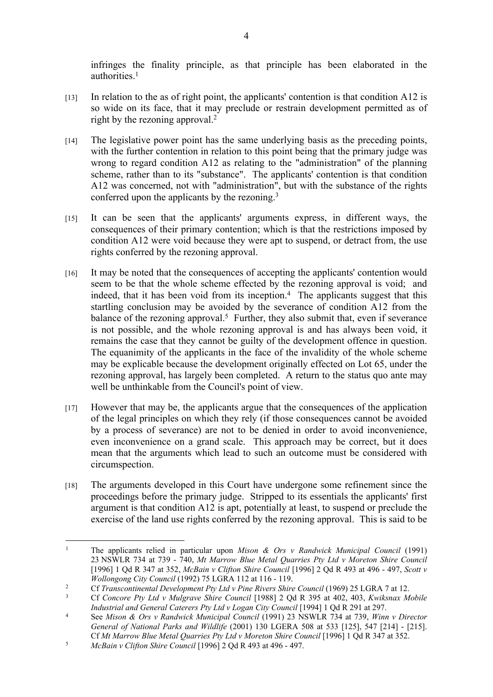infringes the finality principle, as that principle has been elaborated in the authorities.<sup>1</sup>

- [13] In relation to the as of right point, the applicants' contention is that condition A12 is so wide on its face, that it may preclude or restrain development permitted as of right by the rezoning approval.<sup>2</sup>
- [14] The legislative power point has the same underlying basis as the preceding points, with the further contention in relation to this point being that the primary judge was wrong to regard condition A12 as relating to the "administration" of the planning scheme, rather than to its "substance". The applicants' contention is that condition A12 was concerned, not with "administration", but with the substance of the rights conferred upon the applicants by the rezoning.<sup>3</sup>
- [15] It can be seen that the applicants' arguments express, in different ways, the consequences of their primary contention; which is that the restrictions imposed by condition A12 were void because they were apt to suspend, or detract from, the use rights conferred by the rezoning approval.
- [16] It may be noted that the consequences of accepting the applicants' contention would seem to be that the whole scheme effected by the rezoning approval is void; and indeed, that it has been void from its inception.<sup>4</sup> The applicants suggest that this startling conclusion may be avoided by the severance of condition A12 from the balance of the rezoning approval.<sup>5</sup> Further, they also submit that, even if severance is not possible, and the whole rezoning approval is and has always been void, it remains the case that they cannot be guilty of the development offence in question. The equanimity of the applicants in the face of the invalidity of the whole scheme may be explicable because the development originally effected on Lot 65, under the rezoning approval, has largely been completed. A return to the status quo ante may well be unthinkable from the Council's point of view.
- [17] However that may be, the applicants argue that the consequences of the application of the legal principles on which they rely (if those consequences cannot be avoided by a process of severance) are not to be denied in order to avoid inconvenience, even inconvenience on a grand scale. This approach may be correct, but it does mean that the arguments which lead to such an outcome must be considered with circumspection.
- [18] The arguments developed in this Court have undergone some refinement since the proceedings before the primary judge. Stripped to its essentials the applicants' first argument is that condition A12 is apt, potentially at least, to suspend or preclude the exercise of the land use rights conferred by the rezoning approval. This is said to be

<sup>1</sup> The applicants relied in particular upon *Mison & Ors v Randwick Municipal Council* (1991) 23 NSWLR 734 at 739 - 740, *Mt Marrow Blue Metal Quarries Pty Ltd v Moreton Shire Council* [1996] 1 Qd R 347 at 352, *McBain v Clifton Shire Council* [1996] 2 Qd R 493 at 496 - 497, *Scott v Wollongong City Council* (1992) 75 LGRA 112 at 116 - 119.

<sup>&</sup>lt;sup>2</sup> Cf *Transcontinental Development Pty Ltd v Pine Rivers Shire Council* (1969) 25 LGRA 7 at 12.<br>Cf Connors Bty Ltd v Mulgrave Shire Council [1988] 2 Od P 295 at 402, 402, Kuikangy M

<sup>3</sup> Cf *Concore Pty Ltd v Mulgrave Shire Council* [1988] 2 Qd R 395 at 402, 403, *Kwiksnax Mobile Industrial and General Caterers Pty Ltd v Logan City Council* [1994] 1 Qd R 291 at 297.

<sup>4</sup> See *Mison & Ors v Randwick Municipal Council* (1991) 23 NSWLR 734 at 739, *Winn v Director General of National Parks and Wildlife* (2001) 130 LGERA 508 at 533 [125], 547 [214] - [215]. Cf *Mt Marrow Blue Metal Quarries Pty Ltd v Moreton Shire Council* [1996] 1 Qd R 347 at 352.

<sup>5</sup> *McBain v Clifton Shire Council* [1996] 2 Qd R 493 at 496 - 497.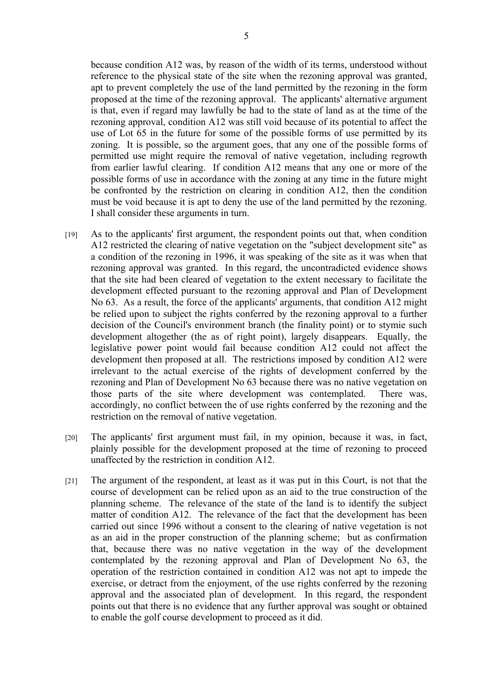because condition A12 was, by reason of the width of its terms, understood without reference to the physical state of the site when the rezoning approval was granted, apt to prevent completely the use of the land permitted by the rezoning in the form proposed at the time of the rezoning approval. The applicants' alternative argument is that, even if regard may lawfully be had to the state of land as at the time of the rezoning approval, condition A12 was still void because of its potential to affect the use of Lot 65 in the future for some of the possible forms of use permitted by its zoning. It is possible, so the argument goes, that any one of the possible forms of permitted use might require the removal of native vegetation, including regrowth from earlier lawful clearing. If condition A12 means that any one or more of the possible forms of use in accordance with the zoning at any time in the future might be confronted by the restriction on clearing in condition A12, then the condition must be void because it is apt to deny the use of the land permitted by the rezoning. I shall consider these arguments in turn.

- [19] As to the applicants' first argument, the respondent points out that, when condition A12 restricted the clearing of native vegetation on the "subject development site" as a condition of the rezoning in 1996, it was speaking of the site as it was when that rezoning approval was granted. In this regard, the uncontradicted evidence shows that the site had been cleared of vegetation to the extent necessary to facilitate the development effected pursuant to the rezoning approval and Plan of Development No 63. As a result, the force of the applicants' arguments, that condition A12 might be relied upon to subject the rights conferred by the rezoning approval to a further decision of the Council's environment branch (the finality point) or to stymie such development altogether (the as of right point), largely disappears. Equally, the legislative power point would fail because condition A12 could not affect the development then proposed at all. The restrictions imposed by condition A12 were irrelevant to the actual exercise of the rights of development conferred by the rezoning and Plan of Development No 63 because there was no native vegetation on those parts of the site where development was contemplated. There was, accordingly, no conflict between the of use rights conferred by the rezoning and the restriction on the removal of native vegetation.
- [20] The applicants' first argument must fail, in my opinion, because it was, in fact, plainly possible for the development proposed at the time of rezoning to proceed unaffected by the restriction in condition A12.
- [21] The argument of the respondent, at least as it was put in this Court, is not that the course of development can be relied upon as an aid to the true construction of the planning scheme. The relevance of the state of the land is to identify the subject matter of condition A12. The relevance of the fact that the development has been carried out since 1996 without a consent to the clearing of native vegetation is not as an aid in the proper construction of the planning scheme; but as confirmation that, because there was no native vegetation in the way of the development contemplated by the rezoning approval and Plan of Development No 63, the operation of the restriction contained in condition A12 was not apt to impede the exercise, or detract from the enjoyment, of the use rights conferred by the rezoning approval and the associated plan of development. In this regard, the respondent points out that there is no evidence that any further approval was sought or obtained to enable the golf course development to proceed as it did.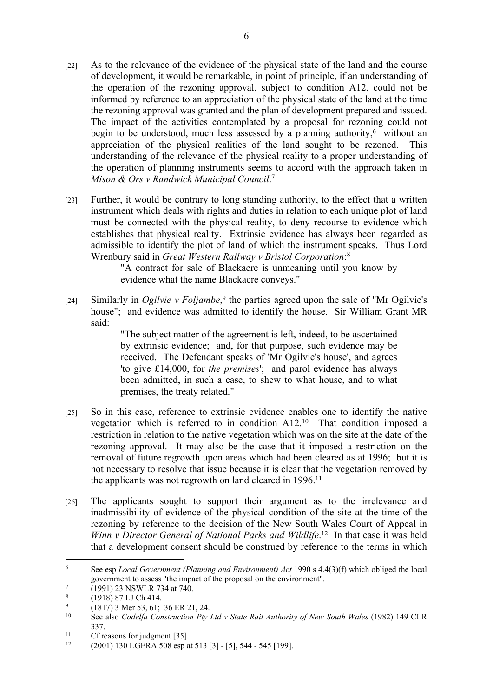- [22] As to the relevance of the evidence of the physical state of the land and the course of development, it would be remarkable, in point of principle, if an understanding of the operation of the rezoning approval, subject to condition A12, could not be informed by reference to an appreciation of the physical state of the land at the time the rezoning approval was granted and the plan of development prepared and issued. The impact of the activities contemplated by a proposal for rezoning could not begin to be understood, much less assessed by a planning authority,<sup>6</sup> without an appreciation of the physical realities of the land sought to be rezoned. This understanding of the relevance of the physical reality to a proper understanding of the operation of planning instruments seems to accord with the approach taken in *Mison & Ors v Randwick Municipal Council*. 7
- [23] Further, it would be contrary to long standing authority, to the effect that a written instrument which deals with rights and duties in relation to each unique plot of land must be connected with the physical reality, to deny recourse to evidence which establishes that physical reality. Extrinsic evidence has always been regarded as admissible to identify the plot of land of which the instrument speaks. Thus Lord Wrenbury said in *Great Western Railway v Bristol Corporation*: 8

"A contract for sale of Blackacre is unmeaning until you know by evidence what the name Blackacre conveys."

[24] Similarly in *Ogilvie v Foljambe*,<sup>9</sup> the parties agreed upon the sale of "Mr Ogilvie's house"; and evidence was admitted to identify the house. Sir William Grant MR said:

> "The subject matter of the agreement is left, indeed, to be ascertained by extrinsic evidence; and, for that purpose, such evidence may be received. The Defendant speaks of 'Mr Ogilvie's house', and agrees 'to give £14,000, for *the premises*'; and parol evidence has always been admitted, in such a case, to shew to what house, and to what premises, the treaty related."

- [25] So in this case, reference to extrinsic evidence enables one to identify the native vegetation which is referred to in condition A12.<sup>10</sup> That condition imposed a restriction in relation to the native vegetation which was on the site at the date of the rezoning approval. It may also be the case that it imposed a restriction on the removal of future regrowth upon areas which had been cleared as at 1996; but it is not necessary to resolve that issue because it is clear that the vegetation removed by the applicants was not regrowth on land cleared in 1996.<sup>11</sup>
- [26] The applicants sought to support their argument as to the irrelevance and inadmissibility of evidence of the physical condition of the site at the time of the rezoning by reference to the decision of the New South Wales Court of Appeal in Winn v Director General of National Parks and Wildlife.<sup>12</sup> In that case it was held that a development consent should be construed by reference to the terms in which

<sup>6</sup> See esp *Local Government (Planning and Environment) Act* 1990 s 4.4(3)(f) which obliged the local government to assess "the impact of the proposal on the environment".

<sup>7</sup> (1991) 23 NSWLR 734 at 740.

<sup>8</sup> (1918) 87 LJ Ch 414.

 $\mathbf{Q}$ (1817) 3 Mer 53, 61; 36 ER 21, 24.

<sup>10</sup> See also *Codelfa Construction Pty Ltd v State Rail Authority of New South Wales* (1982) 149 CLR 337.

<sup>&</sup>lt;sup>11</sup> Cf reasons for judgment [35].<br>
<sup>12</sup> (2001) <sup>120</sup> LGER A 508 asp a

<sup>12</sup> (2001) 130 LGERA 508 esp at 513 [3] - [5], 544 - 545 [199].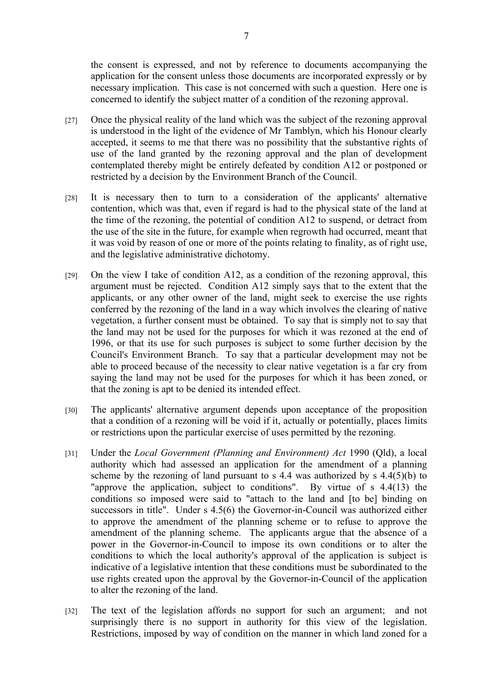the consent is expressed, and not by reference to documents accompanying the application for the consent unless those documents are incorporated expressly or by necessary implication. This case is not concerned with such a question. Here one is concerned to identify the subject matter of a condition of the rezoning approval.

- [27] Once the physical reality of the land which was the subject of the rezoning approval is understood in the light of the evidence of Mr Tamblyn, which his Honour clearly accepted, it seems to me that there was no possibility that the substantive rights of use of the land granted by the rezoning approval and the plan of development contemplated thereby might be entirely defeated by condition A12 or postponed or restricted by a decision by the Environment Branch of the Council.
- [28] It is necessary then to turn to a consideration of the applicants' alternative contention, which was that, even if regard is had to the physical state of the land at the time of the rezoning, the potential of condition A12 to suspend, or detract from the use of the site in the future, for example when regrowth had occurred, meant that it was void by reason of one or more of the points relating to finality, as of right use, and the legislative administrative dichotomy.
- $[29]$  On the view I take of condition A12, as a condition of the rezoning approval, this argument must be rejected. Condition A12 simply says that to the extent that the applicants, or any other owner of the land, might seek to exercise the use rights conferred by the rezoning of the land in a way which involves the clearing of native vegetation, a further consent must be obtained. To say that is simply not to say that the land may not be used for the purposes for which it was rezoned at the end of 1996, or that its use for such purposes is subject to some further decision by the Council's Environment Branch. To say that a particular development may not be able to proceed because of the necessity to clear native vegetation is a far cry from saying the land may not be used for the purposes for which it has been zoned, or that the zoning is apt to be denied its intended effect.
- [30] The applicants' alternative argument depends upon acceptance of the proposition that a condition of a rezoning will be void if it, actually or potentially, places limits or restrictions upon the particular exercise of uses permitted by the rezoning.
- [31] Under the *Local Government (Planning and Environment) Act* 1990 (Qld), a local authority which had assessed an application for the amendment of a planning scheme by the rezoning of land pursuant to s 4.4 was authorized by s  $4.4(5)(b)$  to "approve the application, subject to conditions". By virtue of s 4.4(13) the conditions so imposed were said to "attach to the land and [to be] binding on successors in title". Under s 4.5(6) the Governor-in-Council was authorized either to approve the amendment of the planning scheme or to refuse to approve the amendment of the planning scheme. The applicants argue that the absence of a power in the Governor-in-Council to impose its own conditions or to alter the conditions to which the local authority's approval of the application is subject is indicative of a legislative intention that these conditions must be subordinated to the use rights created upon the approval by the Governor-in-Council of the application to alter the rezoning of the land.
- [32] The text of the legislation affords no support for such an argument; and not surprisingly there is no support in authority for this view of the legislation. Restrictions, imposed by way of condition on the manner in which land zoned for a